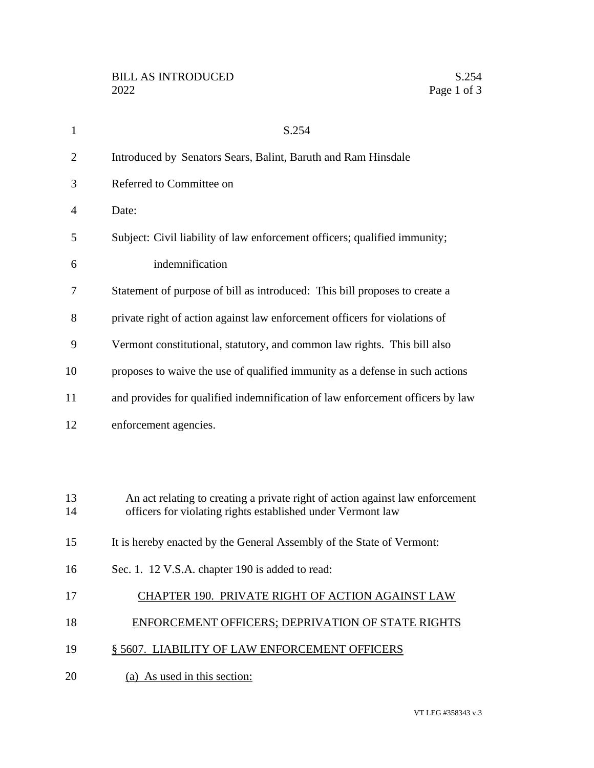| $\mathbf{1}$   | S.254                                                                                                                                        |
|----------------|----------------------------------------------------------------------------------------------------------------------------------------------|
| $\overline{2}$ | Introduced by Senators Sears, Balint, Baruth and Ram Hinsdale                                                                                |
| 3              | Referred to Committee on                                                                                                                     |
| 4              | Date:                                                                                                                                        |
| 5              | Subject: Civil liability of law enforcement officers; qualified immunity;                                                                    |
| 6              | indemnification                                                                                                                              |
| 7              | Statement of purpose of bill as introduced: This bill proposes to create a                                                                   |
| 8              | private right of action against law enforcement officers for violations of                                                                   |
| 9              | Vermont constitutional, statutory, and common law rights. This bill also                                                                     |
| 10             | proposes to waive the use of qualified immunity as a defense in such actions                                                                 |
| 11             | and provides for qualified indemnification of law enforcement officers by law                                                                |
| 12             | enforcement agencies.                                                                                                                        |
|                |                                                                                                                                              |
|                |                                                                                                                                              |
| 13<br>14       | An act relating to creating a private right of action against law enforcement<br>officers for violating rights established under Vermont law |
| 15             | It is hereby enacted by the General Assembly of the State of Vermont:                                                                        |
| 16             | Sec. 1. 12 V.S.A. chapter 190 is added to read:                                                                                              |
| 17             | CHAPTER 190. PRIVATE RIGHT OF ACTION AGAINST LAW                                                                                             |
| 18             | <b>ENFORCEMENT OFFICERS; DEPRIVATION OF STATE RIGHTS</b>                                                                                     |
| 19             | § 5607. LIABILITY OF LAW ENFORCEMENT OFFICERS                                                                                                |
| 20             | (a) As used in this section:                                                                                                                 |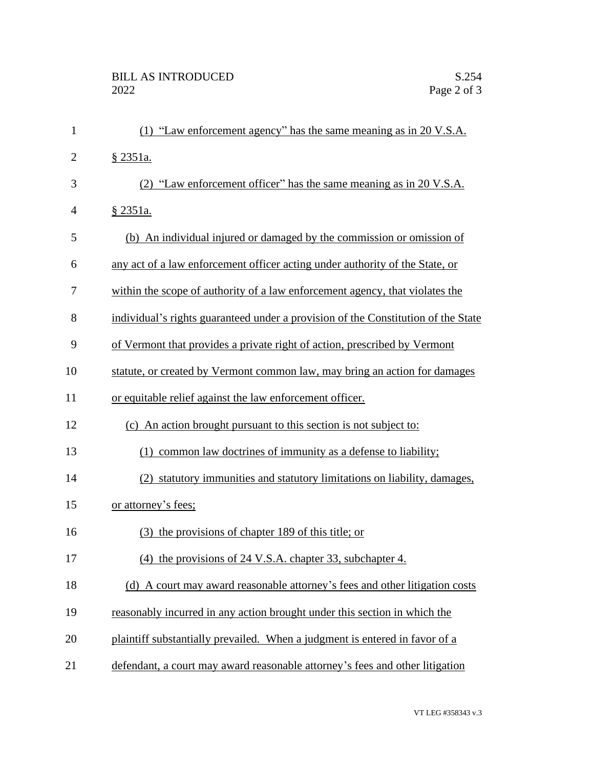| $\mathbf{1}$   | (1) "Law enforcement agency" has the same meaning as in 20 V.S.A.                 |
|----------------|-----------------------------------------------------------------------------------|
| $\overline{2}$ | § 2351a.                                                                          |
| 3              | (2) "Law enforcement officer" has the same meaning as in 20 V.S.A.                |
| 4              | § 2351a.                                                                          |
| 5              | (b) An individual injured or damaged by the commission or omission of             |
| 6              | any act of a law enforcement officer acting under authority of the State, or      |
| 7              | within the scope of authority of a law enforcement agency, that violates the      |
| 8              | individual's rights guaranteed under a provision of the Constitution of the State |
| 9              | of Vermont that provides a private right of action, prescribed by Vermont         |
| 10             | statute, or created by Vermont common law, may bring an action for damages        |
| 11             | or equitable relief against the law enforcement officer.                          |
| 12             | (c) An action brought pursuant to this section is not subject to:                 |
| 13             | common law doctrines of immunity as a defense to liability;<br>(1)                |
| 14             | (2) statutory immunities and statutory limitations on liability, damages,         |
| 15             | or attorney's fees;                                                               |
| 16             | (3) the provisions of chapter 189 of this title; or                               |
| 17             | (4) the provisions of 24 V.S.A. chapter 33, subchapter 4.                         |
| 18             | (d) A court may award reasonable attorney's fees and other litigation costs       |
| 19             | reasonably incurred in any action brought under this section in which the         |
| 20             | plaintiff substantially prevailed. When a judgment is entered in favor of a       |
| 21             | defendant, a court may award reasonable attorney's fees and other litigation      |
|                |                                                                                   |